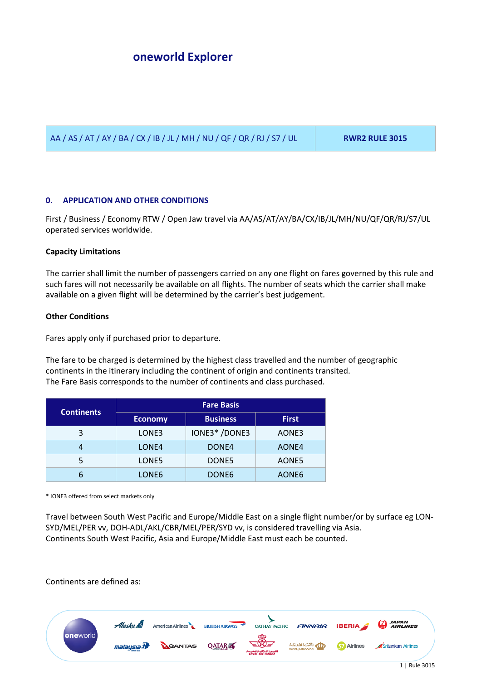AA / AS / AT / AY / BA / CX / IB / JL / MH / NU / QF / QR / RJ / S7 / UL **RWR2 RULE 3015**

# **0. APPLICATION AND OTHER CONDITIONS**

First / Business / Economy RTW / Open Jaw travel via AA/AS/AT/AY/BA/CX/IB/JL/MH/NU/QF/QR/RJ/S7/UL operated services worldwide.

## **Capacity Limitations**

The carrier shall limit the number of passengers carried on any one flight on fares governed by this rule and such fares will not necessarily be available on all flights. The number of seats which the carrier shall make available on a given flight will be determined by the carrier's best judgement.

## **Other Conditions**

Fares apply only if purchased prior to departure.

The fare to be charged is determined by the highest class travelled and the number of geographic continents in the itinerary including the continent of origin and continents transited. The Fare Basis corresponds to the number of continents and class purchased.

|                   | <b>Fare Basis</b> |                   |              |
|-------------------|-------------------|-------------------|--------------|
| <b>Continents</b> | <b>Economy</b>    | <b>Business</b>   | <b>First</b> |
| 3                 | LONE3             | IONE3*/DONE3      | AONE3        |
| 4                 | LONE4             | DONE4             | AONE4        |
|                   | LONE5             | DONE5             | AONE5        |
| 6                 | LONE6             | DONE <sub>6</sub> | AONE6        |

\* IONE3 offered from select markets only

Travel between South West Pacific and Europe/Middle East on a single flight number/or by surface eg LON-SYD/MEL/PER vv, DOH-ADL/AKL/CBR/MEL/PER/SYD vv, is considered travelling via Asia. Continents South West Pacific, Asia and Europe/Middle East must each be counted.

Continents are defined as:

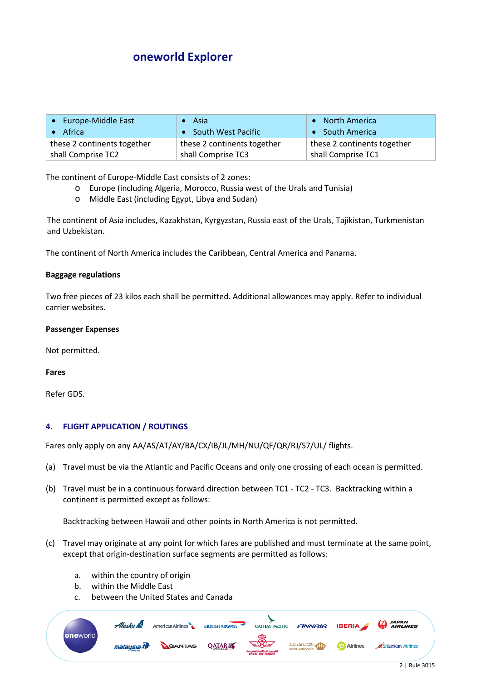| • Europe-Middle East        | Asia                        | • North America             |
|-----------------------------|-----------------------------|-----------------------------|
| Africa                      | • South West Pacific        | • South America             |
| these 2 continents together | these 2 continents together | these 2 continents together |
| shall Comprise TC2          | shall Comprise TC3          | shall Comprise TC1          |

The continent of Europe-Middle East consists of 2 zones:

- o Europe (including Algeria, Morocco, Russia west of the Urals and Tunisia)<br>  $\circ$  Middle East (including Egypt, Libya and Sudan)
- Middle East (including Egypt, Libya and Sudan)

The continent of Asia includes, Kazakhstan, Kyrgyzstan, Russia east of the Urals, Tajikistan, Turkmenistan and Uzbekistan.

The continent of North America includes the Caribbean, Central America and Panama.

### **Baggage regulations**

Two free pieces of 23 kilos each shall be permitted. Additional allowances may apply. Refer to individual carrier websites.

#### **Passenger Expenses**

Not permitted.

### **Fares**

Refer GDS.

## **4. FLIGHT APPLICATION / ROUTINGS**

Fares only apply on any AA/AS/AT/AY/BA/CX/IB/JL/MH/NU/QF/QR/RJ/S7/UL/ flights.

- (a) Travel must be via the Atlantic and Pacific Oceans and only one crossing of each ocean is permitted.
- (b) Travel must be in a continuous forward direction between TC1 TC2 TC3. Backtracking within a continent is permitted except as follows:

Backtracking between Hawaii and other points in North America is not permitted.

- (c) Travel may originate at any point for which fares are published and must terminate at the same point, except that origin-destination surface segments are permitted as follows:
	- a. within the country of origin
	- b. within the Middle East
	- c. between the United States and Canada

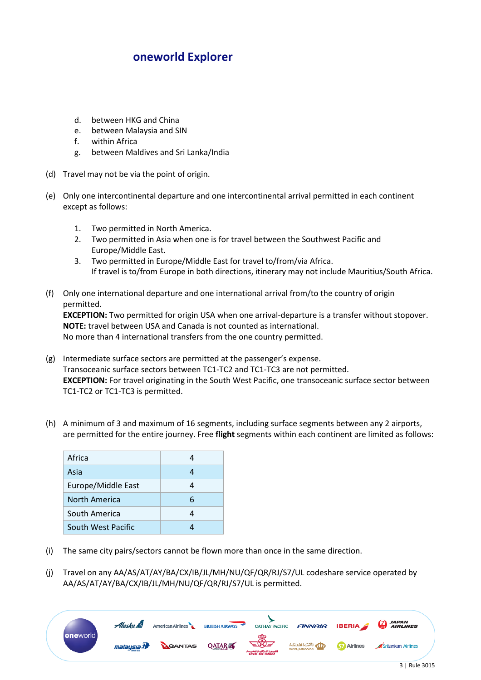- d. between HKG and China
- e. between Malaysia and SIN
- f. within Africa
- g. between Maldives and Sri Lanka/India
- (d) Travel may not be via the point of origin.
- (e) Only one intercontinental departure and one intercontinental arrival permitted in each continent except as follows:
	- 1. Two permitted in North America.
	- 2. Two permitted in Asia when one is for travel between the Southwest Pacific and Europe/Middle East.
	- 3. Two permitted in Europe/Middle East for travel to/from/via Africa. If travel is to/from Europe in both directions, itinerary may not include Mauritius/South Africa.
- (f) Only one international departure and one international arrival from/to the country of origin permitted.

**EXCEPTION:** Two permitted for origin USA when one arrival-departure is a transfer without stopover. **NOTE:** travel between USA and Canada is not counted as international. No more than 4 international transfers from the one country permitted.

- (g) Intermediate surface sectors are permitted at the passenger's expense. Transoceanic surface sectors between TC1-TC2 and TC1-TC3 are not permitted. **EXCEPTION:** For travel originating in the South West Pacific, one transoceanic surface sector between TC1-TC2 or TC1-TC3 is permitted.
- (h) A minimum of 3 and maximum of 16 segments, including surface segments between any 2 airports, are permitted for the entire journey. Free **flight** segments within each continent are limited as follows:

| Africa             | 4 |
|--------------------|---|
| Asia               | 4 |
| Europe/Middle East | Δ |
| North America      | 6 |
| South America      | 4 |
| South West Pacific |   |

- (i) The same city pairs/sectors cannot be flown more than once in the same direction.
- (j) Travel on any AA/AS/AT/AY/BA/CX/IB/JL/MH/NU/QF/QR/RJ/S7/UL codeshare service operated by AA/AS/AT/AY/BA/CX/IB/JL/MH/NU/QF/QR/RJ/S7/UL is permitted.

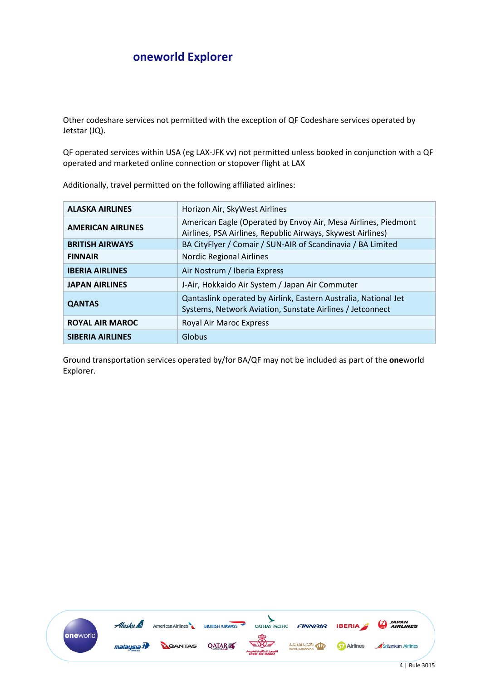Other codeshare services not permitted with the exception of QF Codeshare services operated by Jetstar (JQ).

QF operated services within USA (eg LAX-JFK vv) not permitted unless booked in conjunction with a QF operated and marketed online connection or stopover flight at LAX

| <b>ALASKA AIRLINES</b>   | Horizon Air, SkyWest Airlines                                                                                                 |
|--------------------------|-------------------------------------------------------------------------------------------------------------------------------|
| <b>AMERICAN AIRLINES</b> | American Eagle (Operated by Envoy Air, Mesa Airlines, Piedmont<br>Airlines, PSA Airlines, Republic Airways, Skywest Airlines) |
| <b>BRITISH AIRWAYS</b>   | BA CityFlyer / Comair / SUN-AIR of Scandinavia / BA Limited                                                                   |
| <b>FINNAIR</b>           | <b>Nordic Regional Airlines</b>                                                                                               |
| <b>IBERIA AIRLINES</b>   | Air Nostrum / Iberia Express                                                                                                  |
| <b>JAPAN AIRLINES</b>    | J-Air, Hokkaido Air System / Japan Air Commuter                                                                               |
| <b>QANTAS</b>            | Qantaslink operated by Airlink, Eastern Australia, National Jet<br>Systems, Network Aviation, Sunstate Airlines / Jetconnect  |
| <b>ROYAL AIR MAROC</b>   | Royal Air Maroc Express                                                                                                       |
| <b>SIBERIA AIRLINES</b>  | Globus                                                                                                                        |

Additionally, travel permitted on the following affiliated airlines:

Ground transportation services operated by/for BA/QF may not be included as part of the **one**world Explorer.

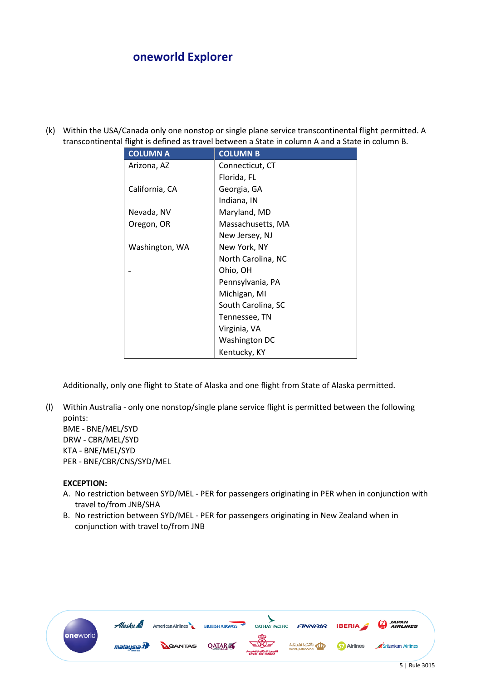(k) Within the USA/Canada only one nonstop or single plane service transcontinental flight permitted. A transcontinental flight is defined as travel between a State in column A and a State in column B.

| <b>COLUMN A</b> | <b>COLUMN B</b>    |
|-----------------|--------------------|
| Arizona, AZ     | Connecticut, CT    |
|                 | Florida, FL        |
| California, CA  | Georgia, GA        |
|                 | Indiana, IN        |
| Nevada, NV      | Maryland, MD       |
| Oregon, OR      | Massachusetts, MA  |
|                 | New Jersey, NJ     |
| Washington, WA  | New York, NY       |
|                 | North Carolina, NC |
|                 | Ohio, OH           |
|                 | Pennsylvania, PA   |
|                 | Michigan, MI       |
|                 | South Carolina, SC |
|                 | Tennessee, TN      |
|                 | Virginia, VA       |
|                 | Washington DC      |
|                 | Kentucky, KY       |

Additionally, only one flight to State of Alaska and one flight from State of Alaska permitted.

(l) Within Australia - only one nonstop/single plane service flight is permitted between the following points:

BME - BNE/MEL/SYD DRW - CBR/MEL/SYD KTA - BNE/MEL/SYD PER - BNE/CBR/CNS/SYD/MEL

## **EXCEPTION:**

- A. No restriction between SYD/MEL PER for passengers originating in PER when in conjunction with travel to/from JNB/SHA
- B. No restriction between SYD/MEL PER for passengers originating in New Zealand when in conjunction with travel to/from JNB

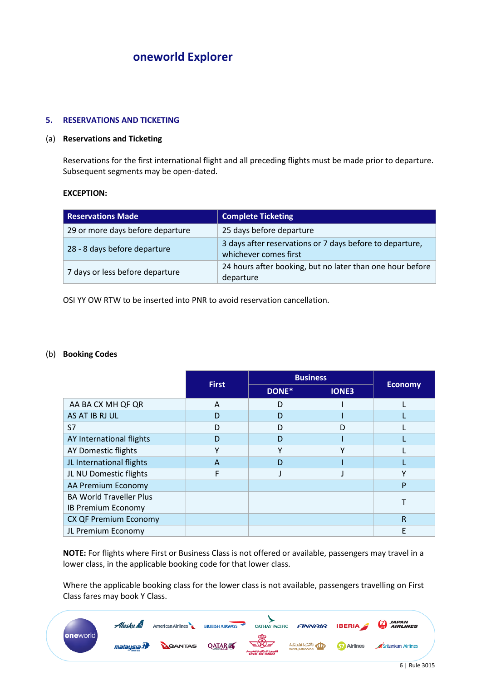### **5. RESERVATIONS AND TICKETING**

## (a) **Reservations and Ticketing**

Reservations for the first international flight and all preceding flights must be made prior to departure. Subsequent segments may be open-dated.

### **EXCEPTION:**

| <b>Reservations Made</b>         | <b>Complete Ticketing</b>                                                         |
|----------------------------------|-----------------------------------------------------------------------------------|
| 29 or more days before departure | 25 days before departure                                                          |
| 28 - 8 days before departure     | 3 days after reservations or 7 days before to departure,<br>whichever comes first |
| 7 days or less before departure  | 24 hours after booking, but no later than one hour before<br>departure            |

OSI YY OW RTW to be inserted into PNR to avoid reservation cancellation.

## (b) **Booking Codes**

|                                |              |       | <b>Business</b> |                |
|--------------------------------|--------------|-------|-----------------|----------------|
|                                | <b>First</b> | DONE* | <b>IONE3</b>    | <b>Economy</b> |
| AA BA CX MH QF QR              | A            | D     |                 |                |
| AS AT IB RJ UL                 | D            | D     |                 |                |
| S7                             | D            | D     | D               |                |
| AY International flights       | D            | D     |                 |                |
| <b>AY Domestic flights</b>     |              | v     |                 |                |
| JL International flights       | A            | D     |                 |                |
| JL NU Domestic flights         |              |       |                 | $\checkmark$   |
| AA Premium Economy             |              |       |                 | P              |
| <b>BA World Traveller Plus</b> |              |       |                 |                |
| IB Premium Economy             |              |       |                 |                |
| <b>CX QF Premium Economy</b>   |              |       |                 | R              |
| JL Premium Economy             |              |       |                 | F              |

**NOTE:** For flights where First or Business Class is not offered or available, passengers may travel in a lower class, in the applicable booking code for that lower class.

Where the applicable booking class for the lower class is not available, passengers travelling on First Class fares may book Y Class.

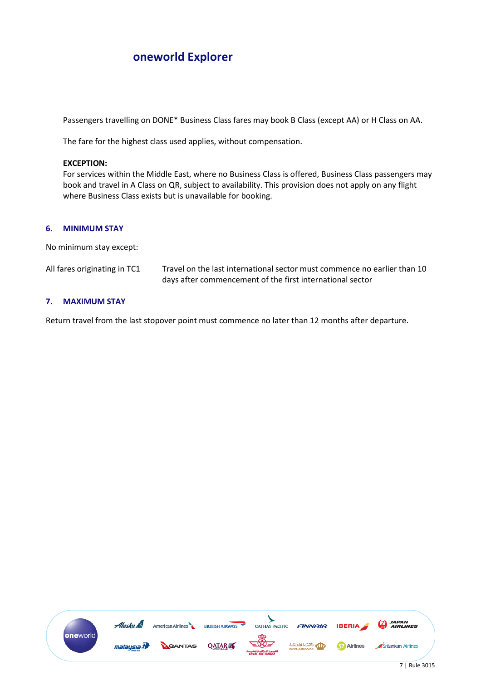Passengers travelling on DONE\* Business Class fares may book B Class (except AA) or H Class on AA.

The fare for the highest class used applies, without compensation.

### **EXCEPTION:**

For services within the Middle East, where no Business Class is offered, Business Class passengers may book and travel in A Class on QR, subject to availability. This provision does not apply on any flight where Business Class exists but is unavailable for booking.

### **6. MINIMUM STAY**

No minimum stay except:

| All fares originating in TC1 | Travel on the last international sector must commence no earlier than 10 |
|------------------------------|--------------------------------------------------------------------------|
|                              | days after commencement of the first international sector                |

### **7. MAXIMUM STAY**

Return travel from the last stopover point must commence no later than 12 months after departure.

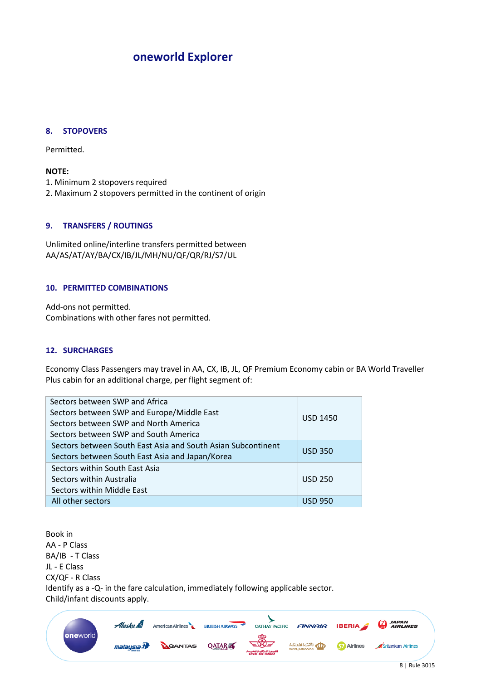### **8. STOPOVERS**

Permitted.

### **NOTE:**

- 1. Minimum 2 stopovers required
- 2. Maximum 2 stopovers permitted in the continent of origin

## **9. TRANSFERS / ROUTINGS**

Unlimited online/interline transfers permitted between AA/AS/AT/AY/BA/CX/IB/JL/MH/NU/QF/QR/RJ/S7/UL

#### **10. PERMITTED COMBINATIONS**

Add-ons not permitted. Combinations with other fares not permitted.

### **12. SURCHARGES**

Economy Class Passengers may travel in AA, CX, IB, JL, QF Premium Economy cabin or BA World Traveller Plus cabin for an additional charge, per flight segment of:

| Sectors between SWP and Africa<br>Sectors between SWP and Europe/Middle East<br>Sectors between SWP and North America<br>Sectors between SWP and South America | <b>USD 1450</b> |
|----------------------------------------------------------------------------------------------------------------------------------------------------------------|-----------------|
| Sectors between South East Asia and South Asian Subcontinent<br>Sectors between South East Asia and Japan/Korea                                                | <b>USD 350</b>  |
| Sectors within South East Asia<br>Sectors within Australia<br>Sectors within Middle East                                                                       | <b>USD 250</b>  |
| All other sectors                                                                                                                                              | <u>USD 950</u>  |

Book in AA - P Class BA/IB - T Class JL - E Class CX/QF - R Class Identify as a -Q- in the fare calculation, immediately following applicable sector. Child/infant discounts apply.

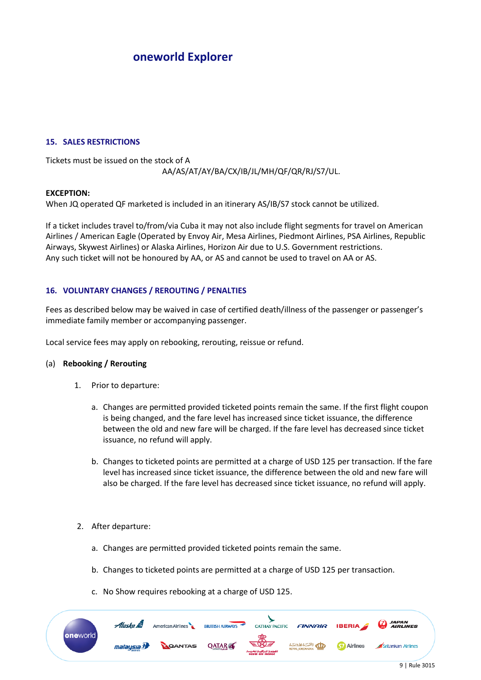### **15. SALES RESTRICTIONS**

Tickets must be issued on the stock of A AA/AS/AT/AY/BA/CX/IB/JL/MH/QF/QR/RJ/S7/UL.

#### **EXCEPTION:**

When JQ operated QF marketed is included in an itinerary AS/IB/S7 stock cannot be utilized.

If a ticket includes travel to/from/via Cuba it may not also include flight segments for travel on American Airlines / American Eagle (Operated by Envoy Air, Mesa Airlines, Piedmont Airlines, PSA Airlines, Republic Airways, Skywest Airlines) or Alaska Airlines, Horizon Air due to U.S. Government restrictions. Any such ticket will not be honoured by AA, or AS and cannot be used to travel on AA or AS.

# **16. VOLUNTARY CHANGES / REROUTING / PENALTIES**

Fees as described below may be waived in case of certified death/illness of the passenger or passenger's immediate family member or accompanying passenger.

Local service fees may apply on rebooking, rerouting, reissue or refund.

#### (a) **Rebooking / Rerouting**

- 1. Prior to departure:
	- a. Changes are permitted provided ticketed points remain the same. If the first flight coupon is being changed, and the fare level has increased since ticket issuance, the difference between the old and new fare will be charged. If the fare level has decreased since ticket issuance, no refund will apply.
	- b. Changes to ticketed points are permitted at a charge of USD 125 per transaction. If the fare level has increased since ticket issuance, the difference between the old and new fare will also be charged. If the fare level has decreased since ticket issuance, no refund will apply.
- 2. After departure:
	- a. Changes are permitted provided ticketed points remain the same.
	- b. Changes to ticketed points are permitted at a charge of USD 125 per transaction.
	- c. No Show requires rebooking at a charge of USD 125.

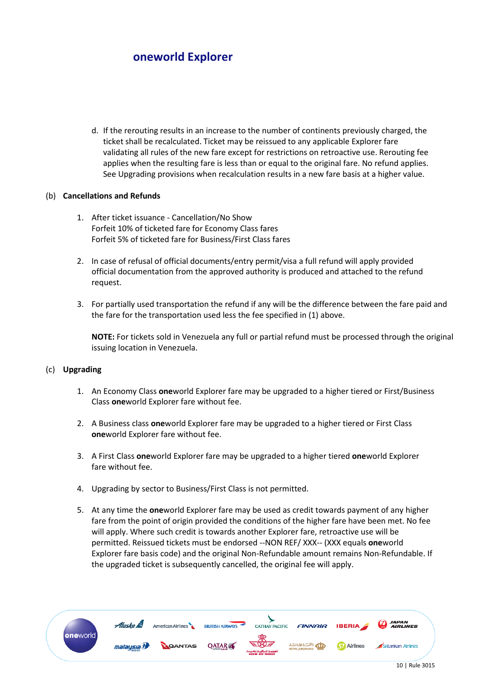d. If the rerouting results in an increase to the number of continents previously charged, the ticket shall be recalculated. Ticket may be reissued to any applicable Explorer fare validating all rules of the new fare except for restrictions on retroactive use. Rerouting fee applies when the resulting fare is less than or equal to the original fare. No refund applies. See Upgrading provisions when recalculation results in a new fare basis at a higher value.

# (b) **Cancellations and Refunds**

- 1. After ticket issuance Cancellation/No Show Forfeit 10% of ticketed fare for Economy Class fares Forfeit 5% of ticketed fare for Business/First Class fares
- 2. In case of refusal of official documents/entry permit/visa a full refund will apply provided official documentation from the approved authority is produced and attached to the refund request.
- 3. For partially used transportation the refund if any will be the difference between the fare paid and the fare for the transportation used less the fee specified in (1) above.

**NOTE:** For tickets sold in Venezuela any full or partial refund must be processed through the original issuing location in Venezuela.

## (c) **Upgrading**

- 1. An Economy Class **one**world Explorer fare may be upgraded to a higher tiered or First/Business Class **one**world Explorer fare without fee.
- 2. A Business class **one**world Explorer fare may be upgraded to a higher tiered or First Class **one**world Explorer fare without fee.
- 3. A First Class **one**world Explorer fare may be upgraded to a higher tiered **one**world Explorer fare without fee.
- 4. Upgrading by sector to Business/First Class is not permitted.
- 5. At any time the **one**world Explorer fare may be used as credit towards payment of any higher fare from the point of origin provided the conditions of the higher fare have been met. No fee will apply. Where such credit is towards another Explorer fare, retroactive use will be permitted. Reissued tickets must be endorsed --NON REF/ XXX-- (XXX equals **one**world Explorer fare basis code) and the original Non-Refundable amount remains Non-Refundable. If the upgraded ticket is subsequently cancelled, the original fee will apply.

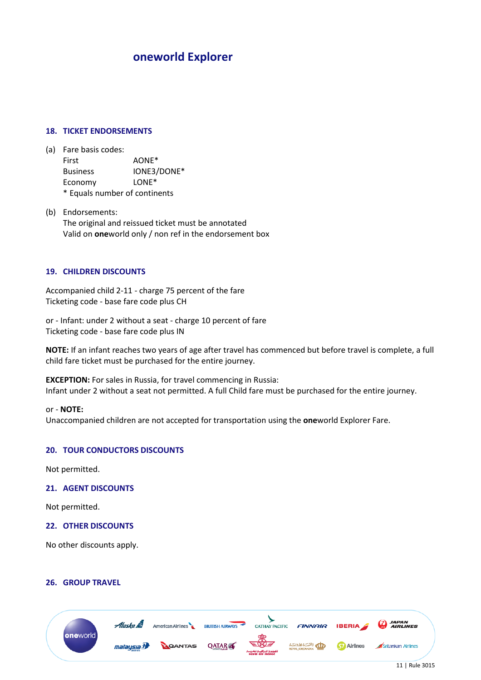## **18. TICKET ENDORSEMENTS**

- (a) Fare basis codes: First AONE\* Business IONE3/DONE\* Economy LONE\* \* Equals number of continents
- (b) Endorsements: The original and reissued ticket must be annotated Valid on **one**world only / non ref in the endorsement box

### **19. CHILDREN DISCOUNTS**

Accompanied child 2-11 - charge 75 percent of the fare Ticketing code - base fare code plus CH

or - Infant: under 2 without a seat - charge 10 percent of fare Ticketing code - base fare code plus IN

**NOTE:** If an infant reaches two years of age after travel has commenced but before travel is complete, a full child fare ticket must be purchased for the entire journey.

**EXCEPTION:** For sales in Russia, for travel commencing in Russia: Infant under 2 without a seat not permitted. A full Child fare must be purchased for the entire journey.

#### or - **NOTE:**

Unaccompanied children are not accepted for transportation using the **one**world Explorer Fare.

#### **20. TOUR CONDUCTORS DISCOUNTS**

Not permitted.

## **21. AGENT DISCOUNTS**

Not permitted.

#### **22. OTHER DISCOUNTS**

No other discounts apply.

## **26. GROUP TRAVEL**